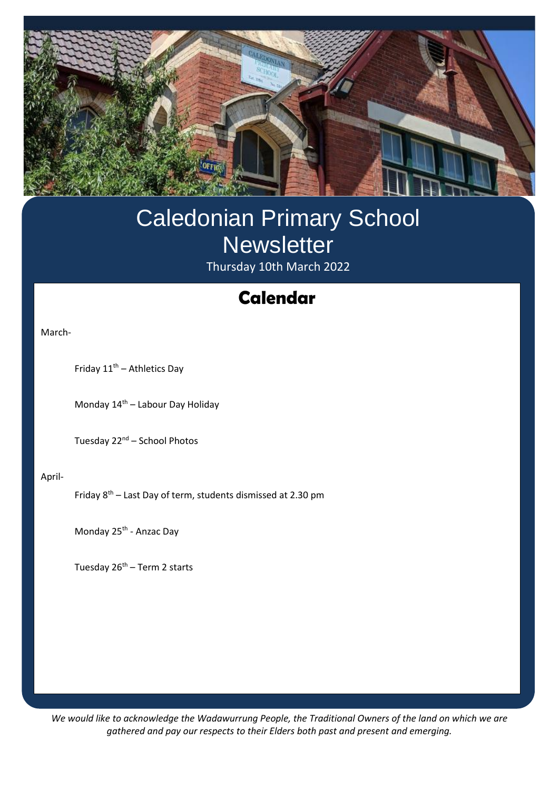

## Caledonian Primary School **Newsletter** Thursday 10th March 2022

## **Swimming Calendar**

March-

Friday  $11^{\text{th}}$  – Athletics Day

Monday 14<sup>th</sup> – Labour Day Holiday

Tuesday 22<sup>nd</sup> – School Photos

April-

Friday  $8^{th}$  – Last Day of term, students dismissed at 2.30 pm

Monday 25<sup>th</sup> - Anzac Day

Tuesday  $26<sup>th</sup>$  – Term 2 starts

*We would like to acknowledge the Wadawurrung People, the Traditional Owners of the land on which we are gathered and pay our respects to their Elders both past and present and emerging.*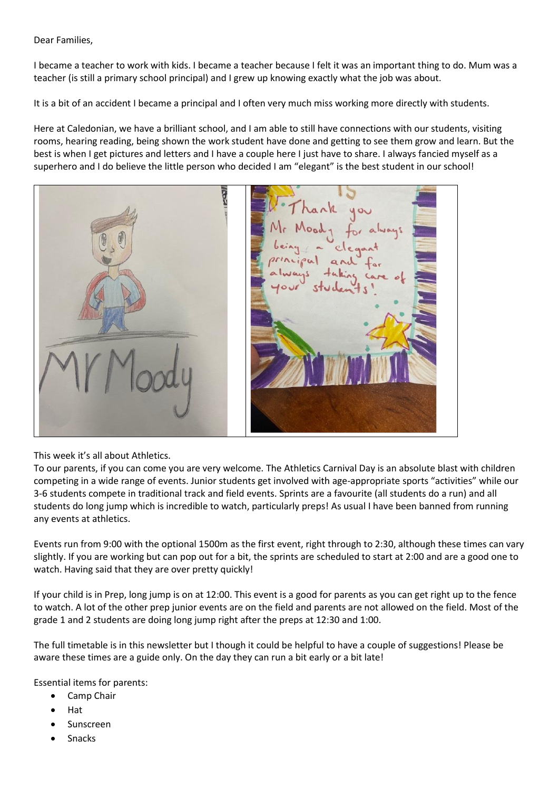Dear Families,

I became a teacher to work with kids. I became a teacher because I felt it was an important thing to do. Mum was a teacher (is still a primary school principal) and I grew up knowing exactly what the job was about.

It is a bit of an accident I became a principal and I often very much miss working more directly with students.

Here at Caledonian, we have a brilliant school, and I am able to still have connections with our students, visiting rooms, hearing reading, being shown the work student have done and getting to see them grow and learn. But the best is when I get pictures and letters and I have a couple here I just have to share. I always fancied myself as a superhero and I do believe the little person who decided I am "elegant" is the best student in our school!



This week it's all about Athletics.

To our parents, if you can come you are very welcome. The Athletics Carnival Day is an absolute blast with children competing in a wide range of events. Junior students get involved with age-appropriate sports "activities" while our 3-6 students compete in traditional track and field events. Sprints are a favourite (all students do a run) and all students do long jump which is incredible to watch, particularly preps! As usual I have been banned from running any events at athletics.

Events run from 9:00 with the optional 1500m as the first event, right through to 2:30, although these times can vary slightly. If you are working but can pop out for a bit, the sprints are scheduled to start at 2:00 and are a good one to watch. Having said that they are over pretty quickly!

If your child is in Prep, long jump is on at 12:00. This event is a good for parents as you can get right up to the fence to watch. A lot of the other prep junior events are on the field and parents are not allowed on the field. Most of the grade 1 and 2 students are doing long jump right after the preps at 12:30 and 1:00.

The full timetable is in this newsletter but I though it could be helpful to have a couple of suggestions! Please be aware these times are a guide only. On the day they can run a bit early or a bit late!

Essential items for parents:

- Camp Chair
- Hat
- **Sunscreen**
- Snacks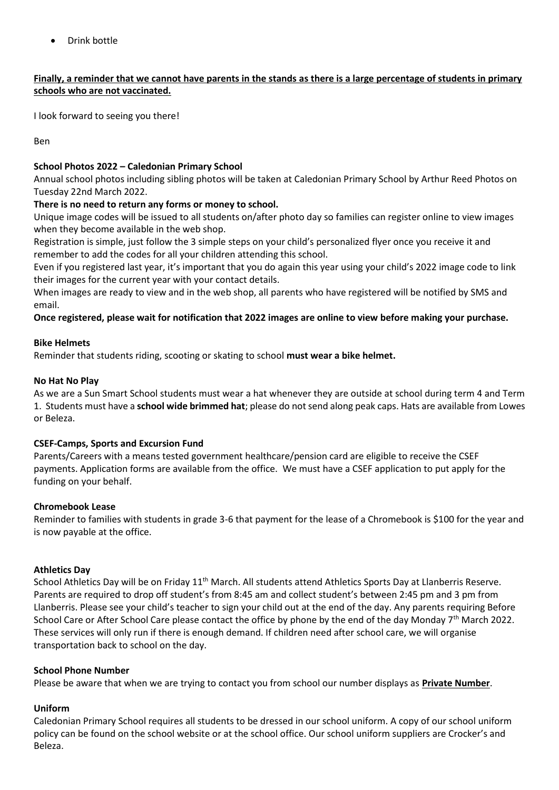• Drink bottle

#### **Finally, a reminder that we cannot have parents in the stands as there is a large percentage of students in primary schools who are not vaccinated.**

I look forward to seeing you there!

Ben

#### **School Photos 2022 – Caledonian Primary School**

Annual school photos including sibling photos will be taken at Caledonian Primary School by Arthur Reed Photos on Tuesday 22nd March 2022.

#### **There is no need to return any forms or money to school.**

Unique image codes will be issued to all students on/after photo day so families can register online to view images when they become available in the web shop.

Registration is simple, just follow the 3 simple steps on your child's personalized flyer once you receive it and remember to add the codes for all your children attending this school.

Even if you registered last year, it's important that you do again this year using your child's 2022 image code to link their images for the current year with your contact details.

When images are ready to view and in the web shop, all parents who have registered will be notified by SMS and email.

**Once registered, please wait for notification that 2022 images are online to view before making your purchase.**

#### **Bike Helmets**

Reminder that students riding, scooting or skating to school **must wear a bike helmet.**

#### **No Hat No Play**

As we are a Sun Smart School students must wear a hat whenever they are outside at school during term 4 and Term 1. Students must have a **school wide brimmed hat**; please do not send along peak caps. Hats are available from Lowes or Beleza.

#### **CSEF-Camps, Sports and Excursion Fund**

Parents/Careers with a means tested government healthcare/pension card are eligible to receive the CSEF payments. Application forms are available from the office. We must have a CSEF application to put apply for the funding on your behalf.

#### **Chromebook Lease**

Reminder to families with students in grade 3-6 that payment for the lease of a Chromebook is \$100 for the year and is now payable at the office.

#### **Athletics Day**

School Athletics Day will be on Friday 11<sup>th</sup> March. All students attend Athletics Sports Day at Llanberris Reserve. Parents are required to drop off student's from 8:45 am and collect student's between 2:45 pm and 3 pm from Llanberris. Please see your child's teacher to sign your child out at the end of the day. Any parents requiring Before School Care or After School Care please contact the office by phone by the end of the day Monday  $7<sup>th</sup>$  March 2022. These services will only run if there is enough demand. If children need after school care, we will organise transportation back to school on the day.

#### **School Phone Number**

Please be aware that when we are trying to contact you from school our number displays as **Private Number**.

#### **Uniform**

Caledonian Primary School requires all students to be dressed in our school uniform. A copy of our school uniform policy can be found on the school website or at the school office. Our school uniform suppliers are Crocker's and Beleza.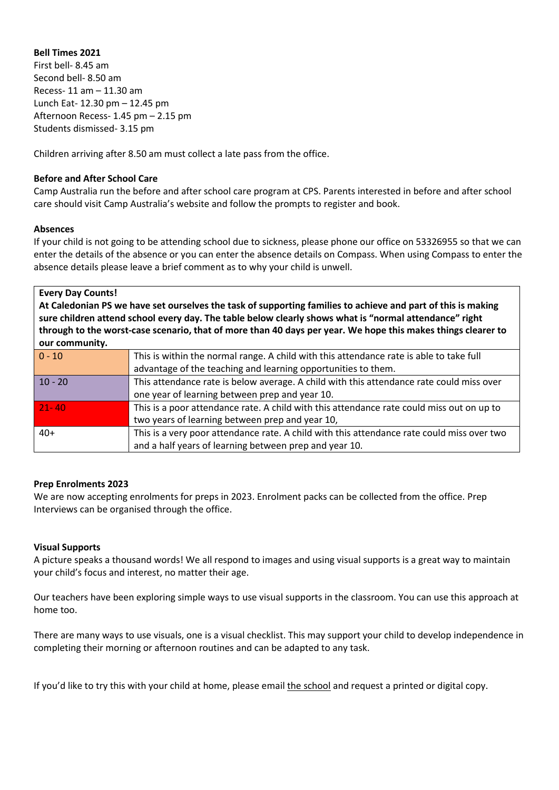#### **Bell Times 2021**

First bell- 8.45 am Second bell- 8.50 am Recess- 11 am – 11.30 am Lunch Eat- 12.30 pm – 12.45 pm Afternoon Recess- 1.45 pm – 2.15 pm Students dismissed- 3.15 pm

Children arriving after 8.50 am must collect a late pass from the office.

#### **Before and After School Care**

Camp Australia run the before and after school care program at CPS. Parents interested in before and after school care should visit Camp Australia's website and follow the prompts to register and book.

#### **Absences**

If your child is not going to be attending school due to sickness, please phone our office on 53326955 so that we can enter the details of the absence or you can enter the absence details on Compass. When using Compass to enter the absence details please leave a brief comment as to why your child is unwell.

**Every Day Counts!**

**At Caledonian PS we have set ourselves the task of supporting families to achieve and part of this is making sure children attend school every day. The table below clearly shows what is "normal attendance" right through to the worst-case scenario, that of more than 40 days per year. We hope this makes things clearer to our community.**

| $  0 - 10$ | This is within the normal range. A child with this attendance rate is able to take full    |  |  |  |  |  |  |  |
|------------|--------------------------------------------------------------------------------------------|--|--|--|--|--|--|--|
|            | advantage of the teaching and learning opportunities to them.                              |  |  |  |  |  |  |  |
|            |                                                                                            |  |  |  |  |  |  |  |
| $10 - 20$  | This attendance rate is below average. A child with this attendance rate could miss over   |  |  |  |  |  |  |  |
|            | one year of learning between prep and year 10.                                             |  |  |  |  |  |  |  |
| $21 - 40$  | This is a poor attendance rate. A child with this attendance rate could miss out on up to  |  |  |  |  |  |  |  |
|            | two years of learning between prep and year 10,                                            |  |  |  |  |  |  |  |
| $40+$      | This is a very poor attendance rate. A child with this attendance rate could miss over two |  |  |  |  |  |  |  |
|            | and a half years of learning between prep and year 10.                                     |  |  |  |  |  |  |  |

#### **Prep Enrolments 2023**

We are now accepting enrolments for preps in 2023. Enrolment packs can be collected from the office. Prep Interviews can be organised through the office.

#### **Visual Supports**

A picture speaks a thousand words! We all respond to images and using visual supports is a great way to maintain your child's focus and interest, no matter their age.

Our teachers have been exploring simple ways to use visual supports in the classroom. You can use this approach at home too.

There are many ways to use visuals, one is a visual checklist. This may support your child to develop independence in completing their morning or afternoon routines and can be adapted to any task.

If you'd like to try this with your child at home, please email [the](mailto:Natalie.karslake@education.vic.gov.au) school and request a printed or digital copy.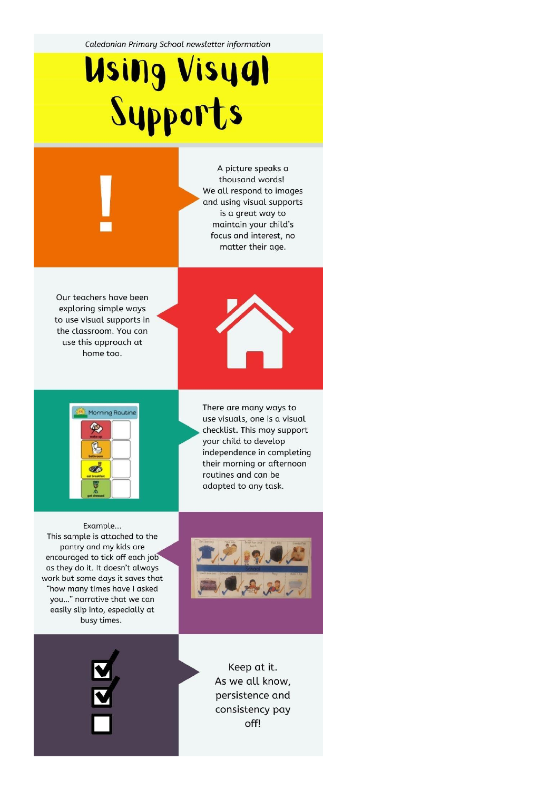Caledonian Primary School newsletter information

# **Using Visyal<br>Sypports**

A picture speaks a thousand words! We all respond to images and using visual supports is a great way to maintain your child's focus and interest, no matter their age.

Our teachers have been exploring simple ways to use visual supports in the classroom. You can use this approach at home too.





There are many ways to use visuals, one is a visual checklist. This may support your child to develop independence in completing their morning or afternoon routines and can be adapted to any task.

Example... This sample is attached to the pantry and my kids are encouraged to tick off each job as they do it. It doesn't always work but some days it saves that "how many times have I asked you..." narrative that we can easily slip into, especially at busy times.



Keep at it. As we all know, persistence and consistency pay off!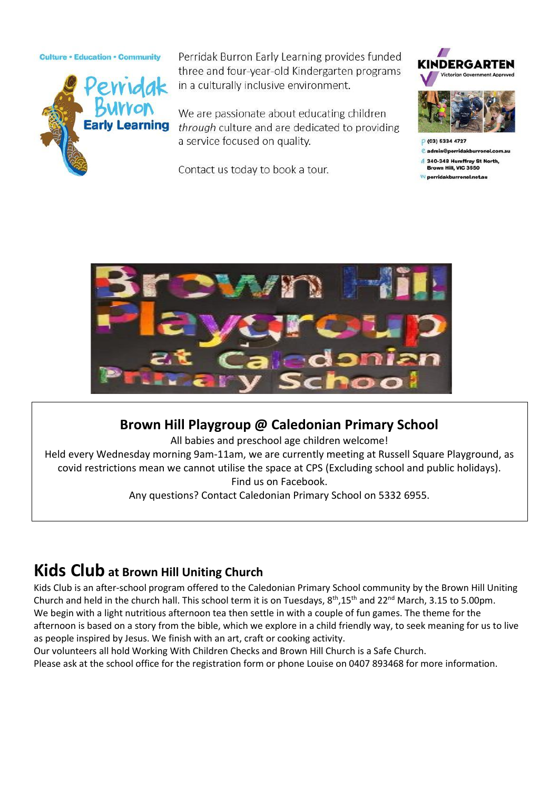#### **Culture · Education · Community**



Perridak Burron Early Learning provides funded three and four-year-old Kindergarten programs in a culturally inclusive environment.

We are passionate about educating children through culture and are dedicated to providing a service focused on quality.

Contact us today to book a tour.



e admin@perridakburrone

340-348 Humffray St North, Brown Hill, VIC 3550

perridakburronel.net.au



#### **Brown Hill Playgroup @ Caledonian Primary School**

All babies and preschool age children welcome!

Held every Wednesday morning 9am-11am, we are currently meeting at Russell Square Playground, as covid restrictions mean we cannot utilise the space at CPS (Excluding school and public holidays). Find us on Facebook.

Any questions? Contact Caledonian Primary School on 5332 6955.

### **Kids Club at Brown Hill Uniting Church**

Kids Club is an after-school program offered to the Caledonian Primary School community by the Brown Hill Uniting Church and held in the church hall. This school term it is on Tuesdays, 8<sup>th</sup>,15<sup>th</sup> and 22<sup>nd</sup> March, 3.15 to 5.00pm. We begin with a light nutritious afternoon tea then settle in with a couple of fun games. The theme for the afternoon is based on a story from the bible, which we explore in a child friendly way, to seek meaning for us to live as people inspired by Jesus. We finish with an art, craft or cooking activity.

Our volunteers all hold Working With Children Checks and Brown Hill Church is a Safe Church.

Please ask at the school office for the registration form or phone Louise on 0407 893468 for more information.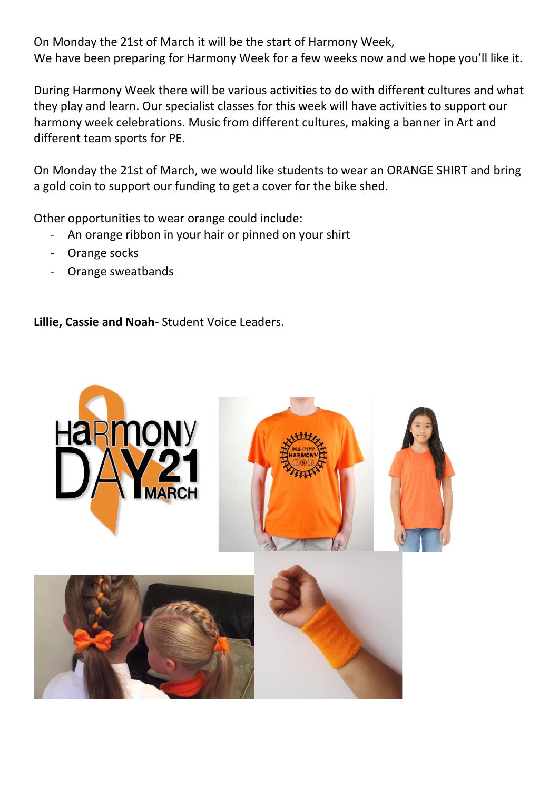On Monday the 21st of March it will be the start of Harmony Week, We have been preparing for Harmony Week for a few weeks now and we hope you'll like it.

During Harmony Week there will be various activities to do with different cultures and what they play and learn. Our specialist classes for this week will have activities to support our harmony week celebrations. Music from different cultures, making a banner in Art and different team sports for PE.

On Monday the 21st of March, we would like students to wear an ORANGE SHIRT and bring a gold coin to support our funding to get a cover for the bike shed.

Other opportunities to wear orange could include:

- An orange ribbon in your hair or pinned on your shirt
- Orange socks
- Orange sweatbands

**Lillie, Cassie and Noah**- Student Voice Leaders.